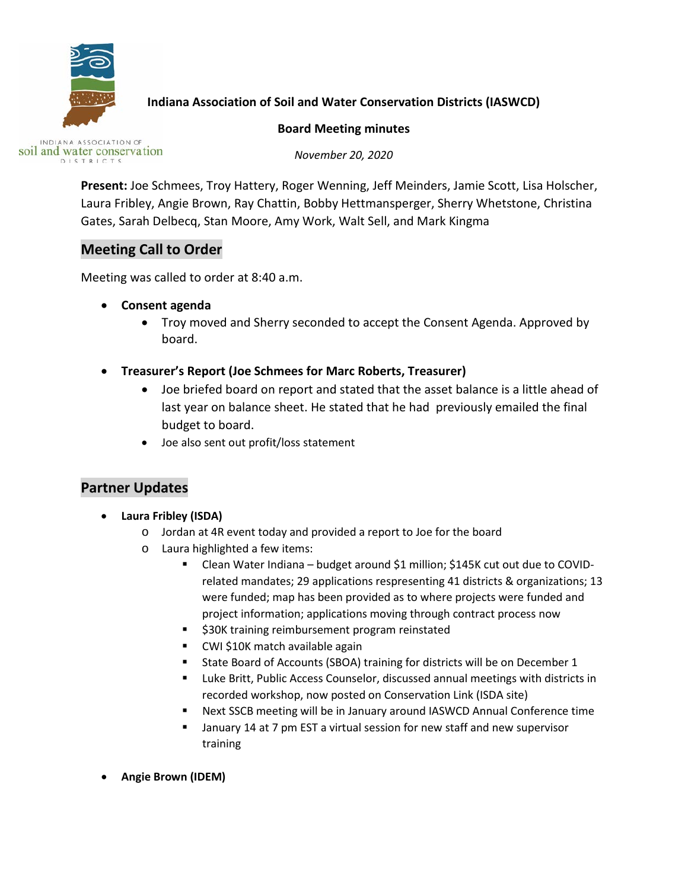

## **Indiana Association of Soil and Water Conservation Districts (IASWCD)**

#### **Board Meeting minutes**

INDIANA ASSOCIATION OF soil and water conservation DISTRICTS

*November 20, 2020*

**Present:** Joe Schmees, Troy Hattery, Roger Wenning, Jeff Meinders, Jamie Scott, Lisa Holscher, Laura Fribley, Angie Brown, Ray Chattin, Bobby Hettmansperger, Sherry Whetstone, Christina Gates, Sarah Delbecq, Stan Moore, Amy Work, Walt Sell, and Mark Kingma

# **Meeting Call to Order**

Meeting was called to order at 8:40 a.m.

- **Consent agenda** 
	- Troy moved and Sherry seconded to accept the Consent Agenda. Approved by board.
- **Treasurer's Report (Joe Schmees for Marc Roberts, Treasurer)**
	- Joe briefed board on report and stated that the asset balance is a little ahead of last year on balance sheet. He stated that he had previously emailed the final budget to board.
	- Joe also sent out profit/loss statement

# **Partner Updates**

- **Laura Fribley (ISDA)**
	- o Jordan at 4R event today and provided a report to Joe for the board
	- o Laura highlighted a few items:
		- Clean Water Indiana budget around \$1 million; \$145K cut out due to COVIDrelated mandates; 29 applications respresenting 41 districts & organizations; 13 were funded; map has been provided as to where projects were funded and project information; applications moving through contract process now
		- **530K training reimbursement program reinstated**
		- CWI \$10K match available again
		- **State Board of Accounts (SBOA) training for districts will be on December 1**
		- Luke Britt, Public Access Counselor, discussed annual meetings with districts in recorded workshop, now posted on Conservation Link (ISDA site)
		- Next SSCB meeting will be in January around IASWCD Annual Conference time
		- January 14 at 7 pm EST a virtual session for new staff and new supervisor training
- **Angie Brown (IDEM)**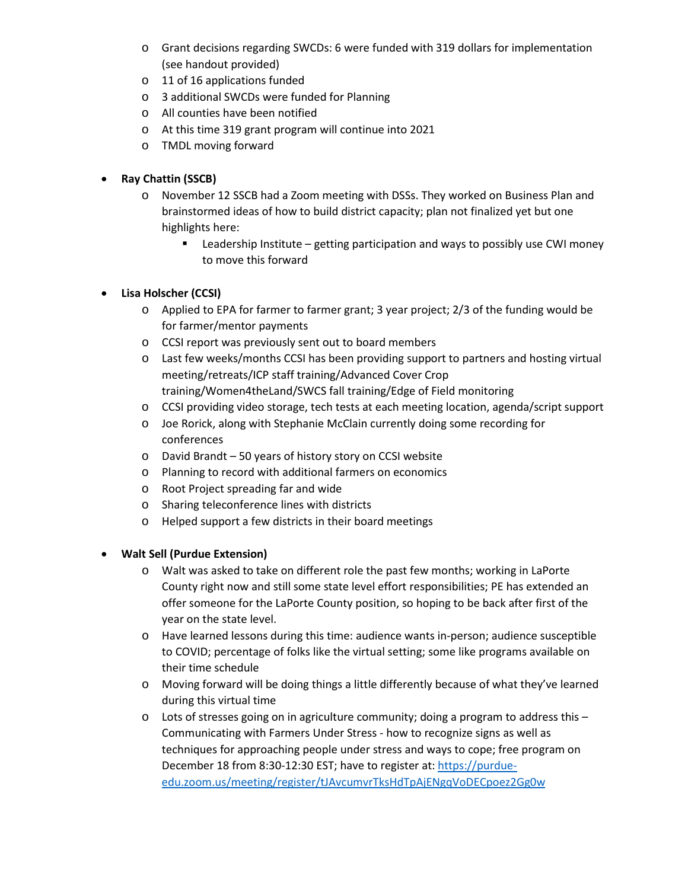- o Grant decisions regarding SWCDs: 6 were funded with 319 dollars for implementation (see handout provided)
- o 11 of 16 applications funded
- o 3 additional SWCDs were funded for Planning
- o All counties have been notified
- o At this time 319 grant program will continue into 2021
- o TMDL moving forward

### • **Ray Chattin (SSCB)**

- o November 12 SSCB had a Zoom meeting with DSSs. They worked on Business Plan and brainstormed ideas of how to build district capacity; plan not finalized yet but one highlights here:
	- Leadership Institute getting participation and ways to possibly use CWI money to move this forward

### • **Lisa Holscher (CCSI)**

- $\circ$  Applied to EPA for farmer to farmer grant; 3 year project; 2/3 of the funding would be for farmer/mentor payments
- o CCSI report was previously sent out to board members
- o Last few weeks/months CCSI has been providing support to partners and hosting virtual meeting/retreats/ICP staff training/Advanced Cover Crop training/Women4theLand/SWCS fall training/Edge of Field monitoring
- o CCSI providing video storage, tech tests at each meeting location, agenda/script support
- o Joe Rorick, along with Stephanie McClain currently doing some recording for conferences
- o David Brandt 50 years of history story on CCSI website
- o Planning to record with additional farmers on economics
- o Root Project spreading far and wide
- o Sharing teleconference lines with districts
- o Helped support a few districts in their board meetings

#### • **Walt Sell (Purdue Extension)**

- o Walt was asked to take on different role the past few months; working in LaPorte County right now and still some state level effort responsibilities; PE has extended an offer someone for the LaPorte County position, so hoping to be back after first of the year on the state level.
- o Have learned lessons during this time: audience wants in-person; audience susceptible to COVID; percentage of folks like the virtual setting; some like programs available on their time schedule
- o Moving forward will be doing things a little differently because of what they've learned during this virtual time
- $\circ$  Lots of stresses going on in agriculture community; doing a program to address this Communicating with Farmers Under Stress - how to recognize signs as well as techniques for approaching people under stress and ways to cope; free program on December 18 from 8:30-12:30 EST; have to register at[: https://purdue](https://purdue-edu.zoom.us/meeting/register/tJAvcumvrTksHdTpAjENgqVoDECpoez2Gg0w)[edu.zoom.us/meeting/register/tJAvcumvrTksHdTpAjENgqVoDECpoez2Gg0w](https://purdue-edu.zoom.us/meeting/register/tJAvcumvrTksHdTpAjENgqVoDECpoez2Gg0w)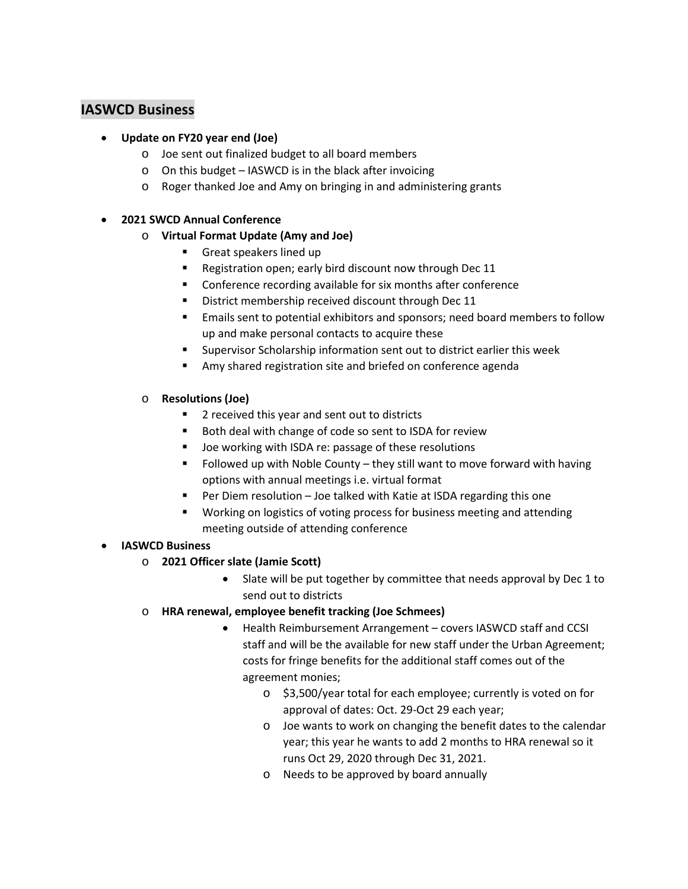### **IASWCD Business**

- **Update on FY20 year end (Joe)**
	- o Joe sent out finalized budget to all board members
	- o On this budget IASWCD is in the black after invoicing
	- o Roger thanked Joe and Amy on bringing in and administering grants

#### • **2021 SWCD Annual Conference**

- o **Virtual Format Update (Amy and Joe)**
	- Great speakers lined up
	- **Registration open; early bird discount now through Dec 11**
	- **EXECO** Conference recording available for six months after conference
	- **•** District membership received discount through Dec 11
	- Emails sent to potential exhibitors and sponsors; need board members to follow up and make personal contacts to acquire these
	- Supervisor Scholarship information sent out to district earlier this week
	- Amy shared registration site and briefed on conference agenda
- o **Resolutions (Joe)**
	- 2 received this year and sent out to districts
	- Both deal with change of code so sent to ISDA for review
	- Joe working with ISDA re: passage of these resolutions
	- Followed up with Noble County they still want to move forward with having options with annual meetings i.e. virtual format
	- Per Diem resolution Joe talked with Katie at ISDA regarding this one
	- **Working on logistics of voting process for business meeting and attending** meeting outside of attending conference

#### • **IASWCD Business**

- o **2021 Officer slate (Jamie Scott)**
	- Slate will be put together by committee that needs approval by Dec 1 to send out to districts
- o **HRA renewal, employee benefit tracking (Joe Schmees)**
	- Health Reimbursement Arrangement covers IASWCD staff and CCSI staff and will be the available for new staff under the Urban Agreement; costs for fringe benefits for the additional staff comes out of the agreement monies;
		- o \$3,500/year total for each employee; currently is voted on for approval of dates: Oct. 29-Oct 29 each year;
		- o Joe wants to work on changing the benefit dates to the calendar year; this year he wants to add 2 months to HRA renewal so it runs Oct 29, 2020 through Dec 31, 2021.
		- o Needs to be approved by board annually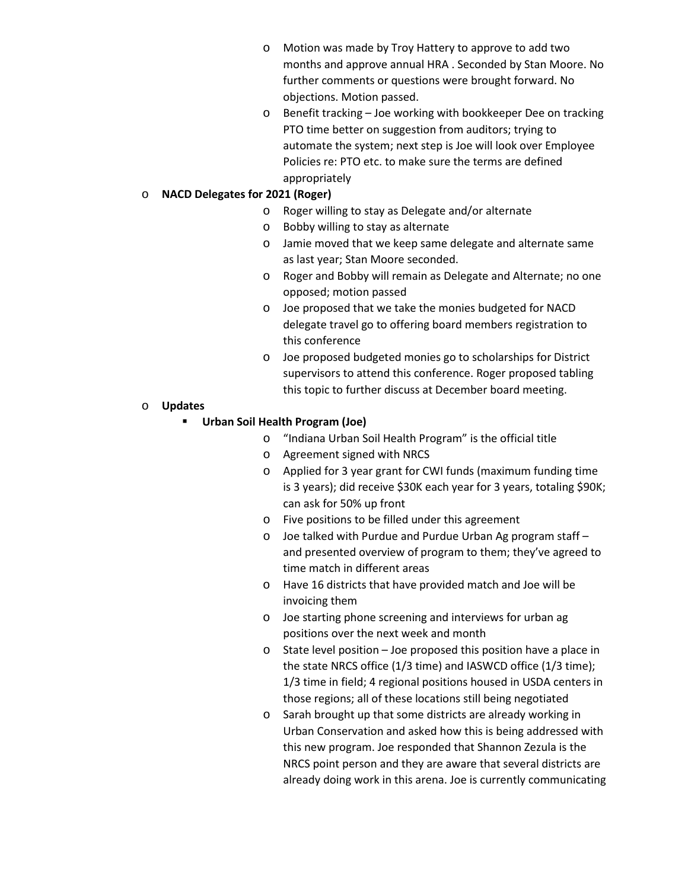- o Motion was made by Troy Hattery to approve to add two months and approve annual HRA . Seconded by Stan Moore. No further comments or questions were brought forward. No objections. Motion passed.
- o Benefit tracking Joe working with bookkeeper Dee on tracking PTO time better on suggestion from auditors; trying to automate the system; next step is Joe will look over Employee Policies re: PTO etc. to make sure the terms are defined appropriately

#### o **NACD Delegates for 2021 (Roger)**

- o Roger willing to stay as Delegate and/or alternate
- o Bobby willing to stay as alternate
- o Jamie moved that we keep same delegate and alternate same as last year; Stan Moore seconded.
- o Roger and Bobby will remain as Delegate and Alternate; no one opposed; motion passed
- o Joe proposed that we take the monies budgeted for NACD delegate travel go to offering board members registration to this conference
- o Joe proposed budgeted monies go to scholarships for District supervisors to attend this conference. Roger proposed tabling this topic to further discuss at December board meeting.

#### o **Updates**

#### **Urban Soil Health Program (Joe)**

- o "Indiana Urban Soil Health Program" is the official title
- o Agreement signed with NRCS
- o Applied for 3 year grant for CWI funds (maximum funding time is 3 years); did receive \$30K each year for 3 years, totaling \$90K; can ask for 50% up front
- o Five positions to be filled under this agreement
- o Joe talked with Purdue and Purdue Urban Ag program staff and presented overview of program to them; they've agreed to time match in different areas
- o Have 16 districts that have provided match and Joe will be invoicing them
- o Joe starting phone screening and interviews for urban ag positions over the next week and month
- o State level position Joe proposed this position have a place in the state NRCS office (1/3 time) and IASWCD office (1/3 time); 1/3 time in field; 4 regional positions housed in USDA centers in those regions; all of these locations still being negotiated
- o Sarah brought up that some districts are already working in Urban Conservation and asked how this is being addressed with this new program. Joe responded that Shannon Zezula is the NRCS point person and they are aware that several districts are already doing work in this arena. Joe is currently communicating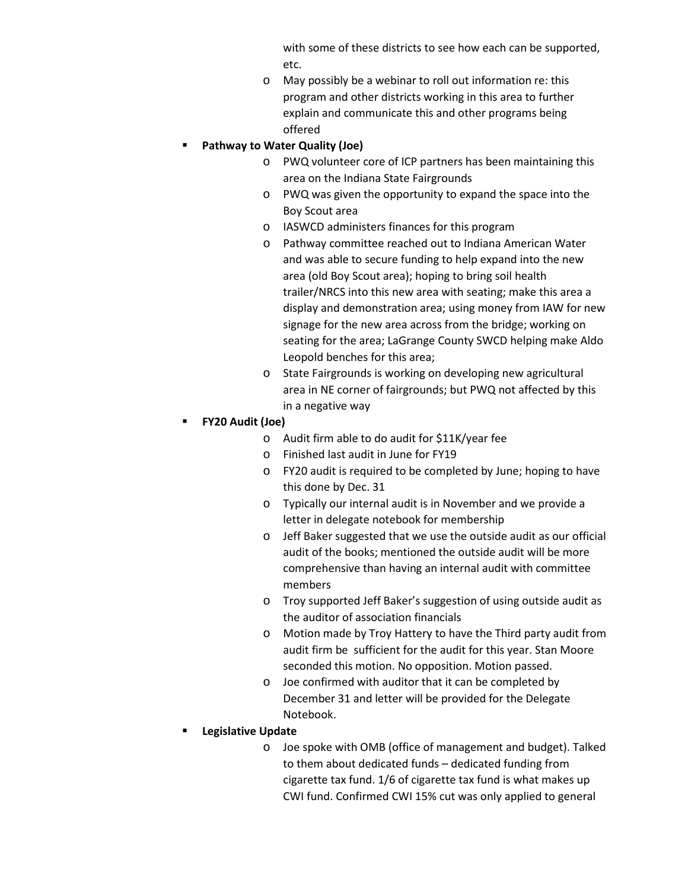with some of these districts to see how each can be supported, etc.

o May possibly be a webinar to roll out information re: this program and other districts working in this area to further explain and communicate this and other programs being offered

### **Pathway to Water Quality (Joe)**

- o PWQ volunteer core of ICP partners has been maintaining this area on the Indiana State Fairgrounds
- o PWQ was given the opportunity to expand the space into the Boy Scout area
- o IASWCD administers finances for this program
- o Pathway committee reached out to Indiana American Water and was able to secure funding to help expand into the new area (old Boy Scout area); hoping to bring soil health trailer/NRCS into this new area with seating; make this area a display and demonstration area; using money from IAW for new signage for the new area across from the bridge; working on seating for the area; LaGrange County SWCD helping make Aldo Leopold benches for this area;
- o State Fairgrounds is working on developing new agricultural area in NE corner of fairgrounds; but PWQ not affected by this in a negative way

## **FY20 Audit (Joe)**

- o Audit firm able to do audit for \$11K/year fee
- o Finished last audit in June for FY19
- o FY20 audit is required to be completed by June; hoping to have this done by Dec. 31
- o Typically our internal audit is in November and we provide a letter in delegate notebook for membership
- o Jeff Baker suggested that we use the outside audit as our official audit of the books; mentioned the outside audit will be more comprehensive than having an internal audit with committee members
- o Troy supported Jeff Baker's suggestion of using outside audit as the auditor of association financials
- o Motion made by Troy Hattery to have the Third party audit from audit firm be sufficient for the audit for this year. Stan Moore seconded this motion. No opposition. Motion passed.
- o Joe confirmed with auditor that it can be completed by December 31 and letter will be provided for the Delegate Notebook.
- **Legislative Update** 
	- o Joe spoke with OMB (office of management and budget). Talked to them about dedicated funds – dedicated funding from cigarette tax fund. 1/6 of cigarette tax fund is what makes up CWI fund. Confirmed CWI 15% cut was only applied to general